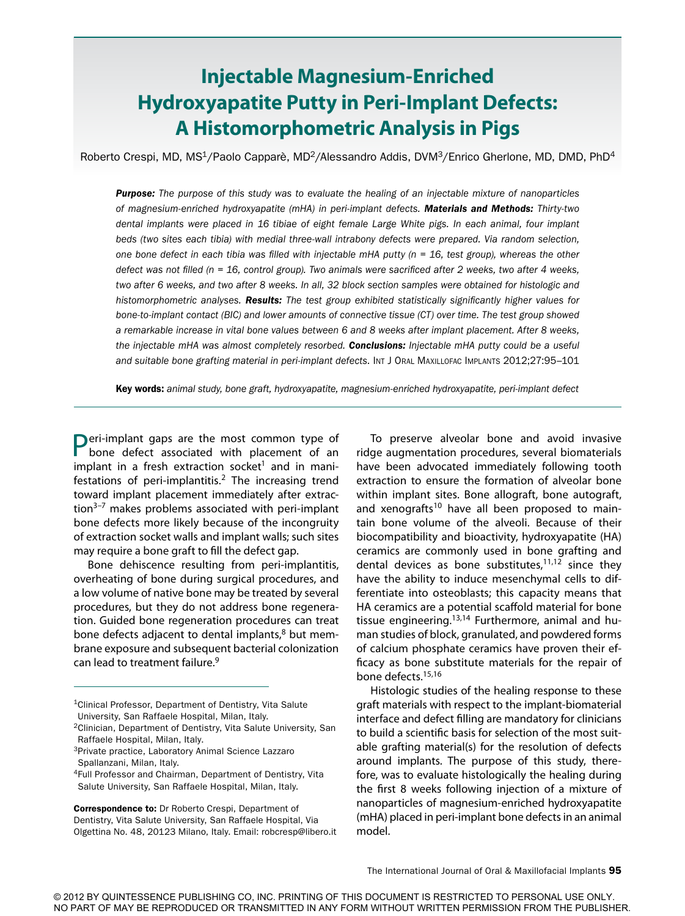# **Injectable Magnesium-Enriched Hydroxyapatite Putty in Peri-Implant Defects: A Histomorphometric Analysis in Pigs**

Roberto Crespi, MD, MS<sup>1</sup>/Paolo Capparè, MD<sup>2</sup>/Alessandro Addis, DVM<sup>3</sup>/Enrico Gherlone, MD, DMD, PhD<sup>4</sup>

*Purpose: The purpose of this study was to evaluate the healing of an injectable mixture of nanoparticles of magnesium-enriched hydroxyapatite (mHA) in peri-implant defects. Materials and Methods: Thirty-two dental implants were placed in 16 tibiae of eight female Large White pigs. In each animal, four implant beds (two sites each tibia) with medial three-wall intrabony defects were prepared. Via random selection, one bone defect in each tibia was filled with injectable mHA putty (n = 16, test group), whereas the other defect was not filled (n = 16, control group). Two animals were sacrificed after 2 weeks, two after 4 weeks, two after 6 weeks, and two after 8 weeks. In all, 32 block section samples were obtained for histologic and histomorphometric analyses. Results: The test group exhibited statistically significantly higher values for bone-to-implant contact (BIC) and lower amounts of connective tissue (CT) over time. The test group showed a remarkable increase in vital bone values between 6 and 8 weeks after implant placement. After 8 weeks, the injectable mHA was almost completely resorbed. Conclusions: Injectable mHA putty could be a useful and suitable bone grafting material in peri-implant defects.* Int J Oral Maxillofac Implants 2012;27:95–101

Key words: *animal study, bone graft, hydroxyapatite, magnesium-enriched hydroxyapatite, peri-implant defect*

**Peri-implant gaps are the most common type of** bone defect associated with placement of an implant in a fresh extraction socket<sup>1</sup> and in manifestations of peri-implantitis.<sup>2</sup> The increasing trend toward implant placement immediately after extraction $3-7$  makes problems associated with peri-implant bone defects more likely because of the incongruity of extraction socket walls and implant walls; such sites may require a bone graft to fill the defect gap.

Bone dehiscence resulting from peri-implantitis, overheating of bone during surgical procedures, and a low volume of native bone may be treated by several procedures, but they do not address bone regeneration. Guided bone regeneration procedures can treat bone defects adjacent to dental implants, $8$  but membrane exposure and subsequent bacterial colonization can lead to treatment failure.<sup>9</sup>

Correspondence to: Dr Roberto Crespi, Department of Dentistry, Vita Salute University, San Raffaele Hospital, Via Olgettina No. 48, 20123 Milano, Italy. Email: robcresp@libero.it

To preserve alveolar bone and avoid invasive ridge augmentation procedures, several biomaterials have been advocated immediately following tooth extraction to ensure the formation of alveolar bone within implant sites. Bone allograft, bone autograft, and xenografts<sup>10</sup> have all been proposed to maintain bone volume of the alveoli. Because of their biocompatibility and bioactivity, hydroxyapatite (HA) ceramics are commonly used in bone grafting and dental devices as bone substitutes, $11,12$  since they have the ability to induce mesenchymal cells to differentiate into osteoblasts; this capacity means that HA ceramics are a potential scaffold material for bone tissue engineering. $13,14$  Furthermore, animal and human studies of block, granulated, and powdered forms of calcium phosphate ceramics have proven their efficacy as bone substitute materials for the repair of bone defects.15,16

Histologic studies of the healing response to these graft materials with respect to the implant-biomaterial interface and defect filling are mandatory for clinicians to build a scientific basis for selection of the most suitable grafting material(s) for the resolution of defects around implants. The purpose of this study, therefore, was to evaluate histologically the healing during the first 8 weeks following injection of a mixture of nanoparticles of magnesium-enriched hydroxyapatite (mHA) placed in peri-implant bone defects in an animal model.

<sup>1</sup>Clinical Professor, Department of Dentistry, Vita Salute University, San Raffaele Hospital, Milan, Italy.

<sup>2</sup>Clinician, Department of Dentistry, Vita Salute University, San Raffaele Hospital, Milan, Italy.

<sup>3</sup>Private practice, Laboratory Animal Science Lazzaro Spallanzani, Milan, Italy.

<sup>4</sup>Full Professor and Chairman, Department of Dentistry, Vita Salute University, San Raffaele Hospital, Milan, Italy.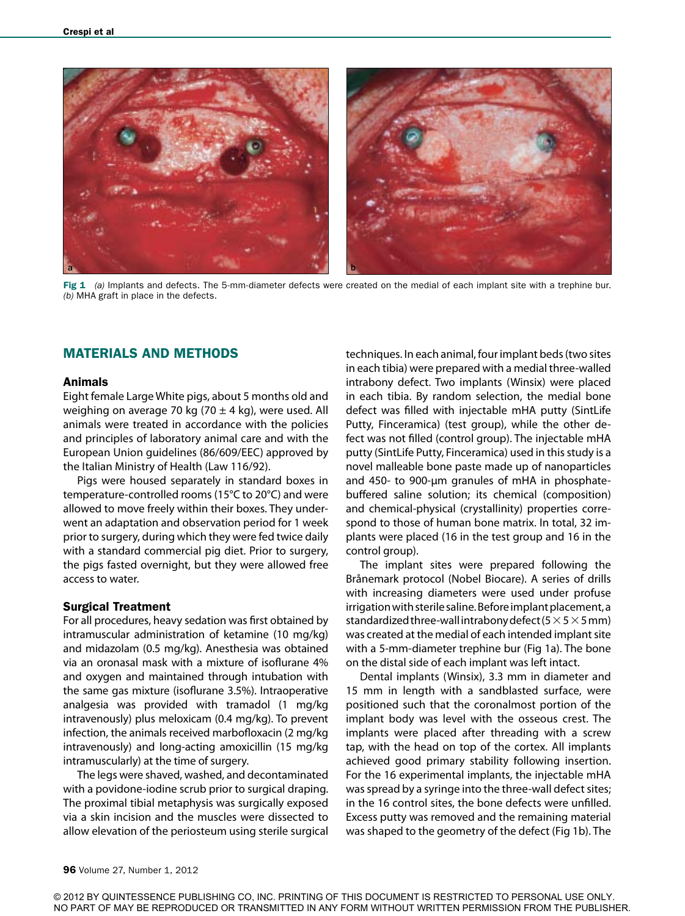

Fig 1 (a) Implants and defects. The 5-mm-diameter defects were created on the medial of each implant site with a trephine bur. *(b)* MHA graft in place in the defects.

## MATERIALS AND METHODS

### Animals

Eight female Large White pigs, about 5 months old and weighing on average 70 kg (70  $\pm$  4 kg), were used. All animals were treated in accordance with the policies and principles of laboratory animal care and with the European Union guidelines (86/609/EEC) approved by the Italian Ministry of Health (Law 116/92).

Pigs were housed separately in standard boxes in temperature-controlled rooms (15°C to 20°C) and were allowed to move freely within their boxes. They underwent an adaptation and observation period for 1 week prior to surgery, during which they were fed twice daily with a standard commercial pig diet. Prior to surgery, the pigs fasted overnight, but they were allowed free access to water.

#### Surgical Treatment

For all procedures, heavy sedation was first obtained by intramuscular administration of ketamine (10 mg/kg) and midazolam (0.5 mg/kg). Anesthesia was obtained via an oronasal mask with a mixture of isoflurane 4% and oxygen and maintained through intubation with the same gas mixture (isoflurane 3.5%). Intraoperative analgesia was provided with tramadol (1 mg/kg intravenously) plus meloxicam (0.4 mg/kg). To prevent infection, the animals received marbofloxacin (2 mg/kg intravenously) and long-acting amoxicillin (15 mg/kg intramuscularly) at the time of surgery.

The legs were shaved, washed, and decontaminated with a povidone-iodine scrub prior to surgical draping. The proximal tibial metaphysis was surgically exposed via a skin incision and the muscles were dissected to allow elevation of the periosteum using sterile surgical

techniques. In each animal, four implant beds (two sites in each tibia) were prepared with a medial three-walled intrabony defect. Two implants (Winsix) were placed in each tibia. By random selection, the medial bone defect was filled with injectable mHA putty (SintLife Putty, Finceramica) (test group), while the other defect was not filled (control group). The injectable mHA putty (SintLife Putty, Finceramica) used in this study is a novel malleable bone paste made up of nanoparticles and 450- to 900-µm granules of mHA in phosphatebuffered saline solution; its chemical (composition) and chemical-physical (crystallinity) properties correspond to those of human bone matrix. In total, 32 implants were placed (16 in the test group and 16 in the control group).

The implant sites were prepared following the Brånemark protocol (Nobel Biocare). A series of drills with increasing diameters were used under profuse irrigation with sterile saline. Before implant placement, a standardized three-wall intrabony defect ( $5 \times 5 \times 5$  mm) was created at the medial of each intended implant site with a 5-mm-diameter trephine bur (Fig 1a). The bone on the distal side of each implant was left intact.

Dental implants (Winsix), 3.3 mm in diameter and 15 mm in length with a sandblasted surface, were positioned such that the coronalmost portion of the implant body was level with the osseous crest. The implants were placed after threading with a screw tap, with the head on top of the cortex. All implants achieved good primary stability following insertion. For the 16 experimental implants, the injectable mHA was spread by a syringe into the three-wall defect sites; in the 16 control sites, the bone defects were unfilled. Excess putty was removed and the remaining material was shaped to the geometry of the defect (Fig 1b). The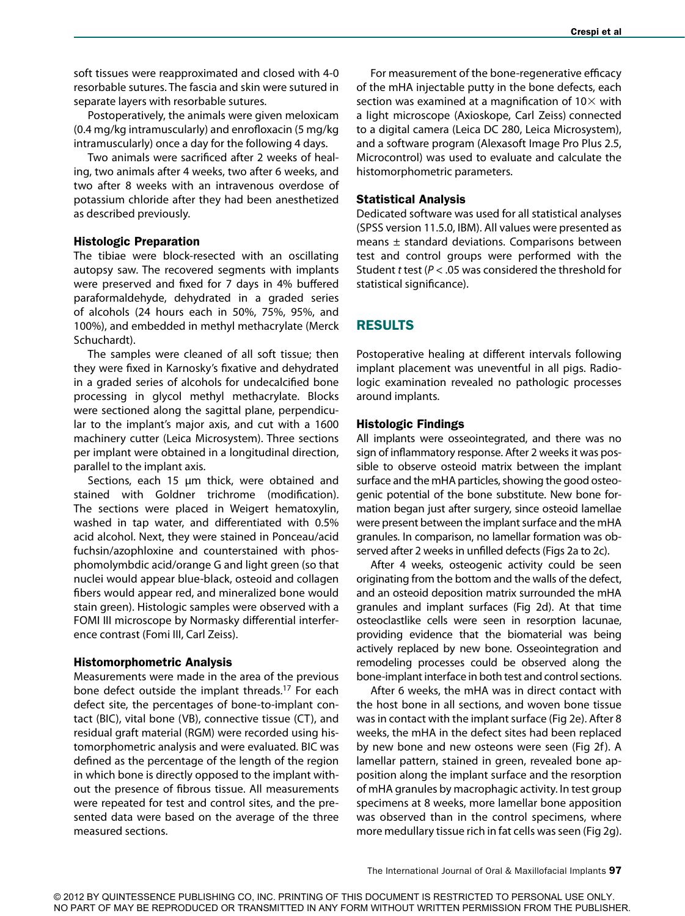soft tissues were reapproximated and closed with 4-0 resorbable sutures. The fascia and skin were sutured in separate layers with resorbable sutures.

Postoperatively, the animals were given meloxicam (0.4 mg/kg intramuscularly) and enrofloxacin (5 mg/kg intramuscularly) once a day for the following 4 days.

Two animals were sacrificed after 2 weeks of healing, two animals after 4 weeks, two after 6 weeks, and two after 8 weeks with an intravenous overdose of potassium chloride after they had been anesthetized as described previously.

#### Histologic Preparation

The tibiae were block-resected with an oscillating autopsy saw. The recovered segments with implants were preserved and fixed for 7 days in 4% buffered paraformaldehyde, dehydrated in a graded series of alcohols (24 hours each in 50%, 75%, 95%, and 100%), and embedded in methyl methacrylate (Merck Schuchardt).

The samples were cleaned of all soft tissue; then they were fixed in Karnosky's fixative and dehydrated in a graded series of alcohols for undecalcified bone processing in glycol methyl methacrylate. Blocks were sectioned along the sagittal plane, perpendicular to the implant's major axis, and cut with a 1600 machinery cutter (Leica Microsystem). Three sections per implant were obtained in a longitudinal direction, parallel to the implant axis.

Sections, each 15 µm thick, were obtained and stained with Goldner trichrome (modification). The sections were placed in Weigert hematoxylin, washed in tap water, and differentiated with 0.5% acid alcohol. Next, they were stained in Ponceau/acid fuchsin/azophloxine and counterstained with phosphomolymbdic acid/orange G and light green (so that nuclei would appear blue-black, osteoid and collagen fibers would appear red, and mineralized bone would stain green). Histologic samples were observed with a FOMI III microscope by Normasky differential interference contrast (Fomi III, Carl Zeiss).

#### Histomorphometric Analysis

Measurements were made in the area of the previous bone defect outside the implant threads.<sup>17</sup> For each defect site, the percentages of bone-to-implant contact (BIC), vital bone (VB), connective tissue (CT), and residual graft material (RGM) were recorded using histomorphometric analysis and were evaluated. BIC was defined as the percentage of the length of the region in which bone is directly opposed to the implant without the presence of fibrous tissue. All measurements were repeated for test and control sites, and the presented data were based on the average of the three measured sections.

For measurement of the bone-regenerative efficacy of the mHA injectable putty in the bone defects, each section was examined at a magnification of  $10\times$  with a light microscope (Axioskope, Carl Zeiss) connected to a digital camera (Leica DC 280, Leica Microsystem), and a software program (Alexasoft Image Pro Plus 2.5, Microcontrol) was used to evaluate and calculate the histomorphometric parameters.

#### Statistical Analysis

Dedicated software was used for all statistical analyses (SPSS version 11.5.0, IBM). All values were presented as means ± standard deviations. Comparisons between test and control groups were performed with the Student *t* test (*P* < .05 was considered the threshold for statistical significance).

## RESULTS

Postoperative healing at different intervals following implant placement was uneventful in all pigs. Radiologic examination revealed no pathologic processes around implants.

#### Histologic Findings

All implants were osseointegrated, and there was no sign of inflammatory response. After 2 weeks it was possible to observe osteoid matrix between the implant surface and the mHA particles, showing the good osteogenic potential of the bone substitute. New bone formation began just after surgery, since osteoid lamellae were present between the implant surface and the mHA granules. In comparison, no lamellar formation was observed after 2 weeks in unfilled defects (Figs 2a to 2c).

After 4 weeks, osteogenic activity could be seen originating from the bottom and the walls of the defect, and an osteoid deposition matrix surrounded the mHA granules and implant surfaces (Fig 2d). At that time osteoclastlike cells were seen in resorption lacunae, providing evidence that the biomaterial was being actively replaced by new bone. Osseointegration and remodeling processes could be observed along the bone-implant interface in both test and control sections.

After 6 weeks, the mHA was in direct contact with the host bone in all sections, and woven bone tissue was in contact with the implant surface (Fig 2e). After 8 weeks, the mHA in the defect sites had been replaced by new bone and new osteons were seen (Fig 2f). A lamellar pattern, stained in green, revealed bone apposition along the implant surface and the resorption of mHA granules by macrophagic activity. In test group specimens at 8 weeks, more lamellar bone apposition was observed than in the control specimens, where more medullary tissue rich in fat cells was seen (Fig 2g).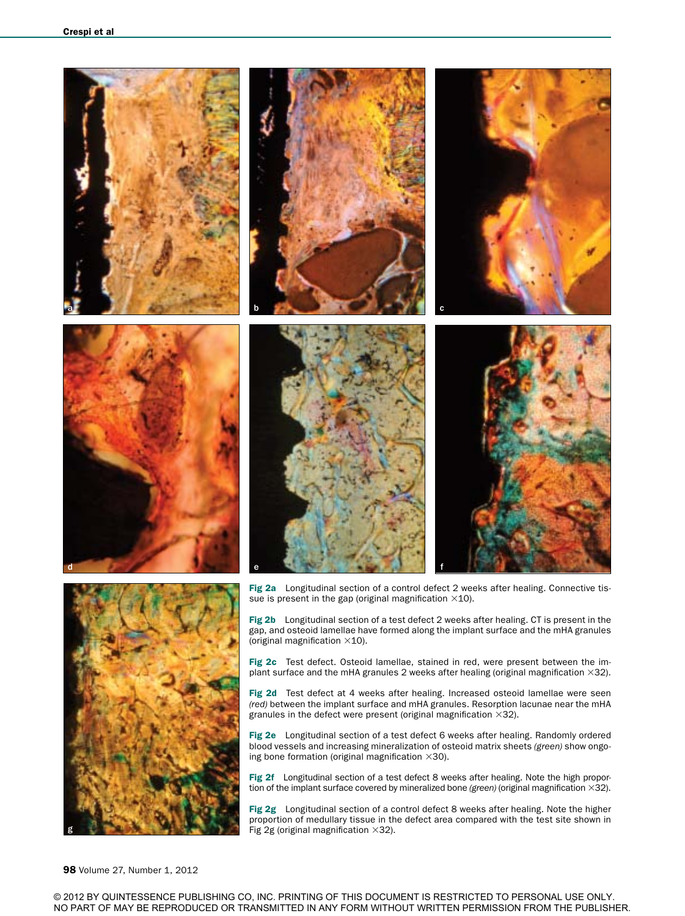



Fig 2b Longitudinal section of a test defect 2 weeks after healing. CT is present in the gap, and osteoid lamellae have formed along the implant surface and the mHA granules (original magnification ×10).

Fig 2c Test defect. Osteoid lamellae, stained in red, were present between the implant surface and the mHA granules 2 weeks after healing (original magnification  $\times$ 32).

Fig 2d Test defect at 4 weeks after healing. Increased osteoid lamellae were seen *(red)* between the implant surface and mHA granules. Resorption lacunae near the mHA granules in the defect were present (original magnification  $\times$ 32).

Fig 2e Longitudinal section of a test defect 6 weeks after healing. Randomly ordered blood vessels and increasing mineralization of osteoid matrix sheets *(green)* show ongoing bone formation (original magnification  $\times$ 30).

Fig 2f Longitudinal section of a test defect 8 weeks after healing. Note the high proportion of the implant surface covered by mineralized bone *(green)* (original magnification ×32).

Fig 2g Longitudinal section of a control defect 8 weeks after healing. Note the higher proportion of medullary tissue in the defect area compared with the test site shown in Fig 2g (original magnification  $\times$ 32).

#### 98 Volume 27, Number 1, 2012

© 2012 BY QUINTESSENCE PUBLISHING CO, INC. PRINTING OF THIS DOCUMENT IS RESTRICTED TO PERSONAL USE ONLY. NO PART OF MAY BE REPRODUCED OR TRANSMITTED IN ANY FORM WITHOUT WRITTEN PERMISSION FROM THE PUBLISHER.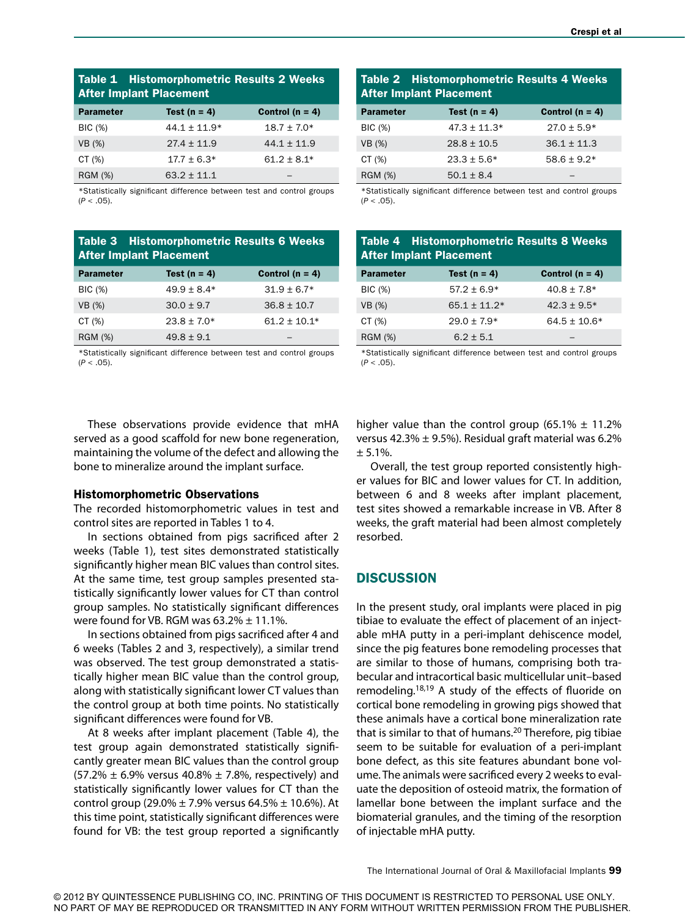| <b>Table 1 Histomorphometric Results 2 Weeks</b><br><b>After Implant Placement</b> |                  |                     |  |  |
|------------------------------------------------------------------------------------|------------------|---------------------|--|--|
| <b>Parameter</b>                                                                   | Test ( $n = 4$ ) | Control ( $n = 4$ ) |  |  |
| <b>BIC</b> (%)                                                                     | $44.1 \pm 11.9*$ | $18.7 \pm 7.0*$     |  |  |
| VB (%)                                                                             | $27.4 \pm 11.9$  | $44.1 \pm 11.9$     |  |  |
| CT $(\%)$                                                                          | $17.7 \pm 6.3*$  | $61.2 \pm 8.1*$     |  |  |
| <b>RGM (%)</b>                                                                     | $63.2 \pm 11.1$  |                     |  |  |

\*Statistically significant difference between test and control groups (*P* < .05).

| Table 3 Histomorphometric Results 6 Weeks<br><b>After Implant Placement</b> |                  |                     |  |  |
|-----------------------------------------------------------------------------|------------------|---------------------|--|--|
| <b>Parameter</b>                                                            | Test ( $n = 4$ ) | Control ( $n = 4$ ) |  |  |
| <b>BIC</b> (%)                                                              | $49.9 \pm 8.4*$  | $31.9 \pm 6.7*$     |  |  |
| VB (%)                                                                      | $30.0 \pm 9.7$   | $36.8 \pm 10.7$     |  |  |
| CT $(\%)$                                                                   | $23.8 \pm 7.0*$  | $61.2 \pm 10.1*$    |  |  |
| <b>RGM (%)</b>                                                              | $49.8 \pm 9.1$   |                     |  |  |

\*Statistically significant difference between test and control groups  $(P < .05)$ .

| <b>Table 2 Histomorphometric Results 4 Weeks</b><br><b>After Implant Placement</b> |                  |                     |  |  |
|------------------------------------------------------------------------------------|------------------|---------------------|--|--|
| <b>Parameter</b>                                                                   | Test ( $n = 4$ ) | Control ( $n = 4$ ) |  |  |
| <b>BIC</b> (%)                                                                     | $47.3 \pm 11.3*$ | $27.0 \pm 5.9*$     |  |  |
| VB (%)                                                                             | $28.8 \pm 10.5$  | $36.1 \pm 11.3$     |  |  |
| CT $(\%)$                                                                          | $23.3 \pm 5.6*$  | $58.6 \pm 9.2*$     |  |  |
| <b>RGM (%)</b>                                                                     | $50.1 \pm 8.4$   |                     |  |  |

\*Statistically significant difference between test and control groups (*P* < .05).

| <b>Table 4 Histomorphometric Results 8 Weeks</b><br><b>After Implant Placement</b> |                  |                     |  |  |
|------------------------------------------------------------------------------------|------------------|---------------------|--|--|
| <b>Parameter</b>                                                                   | Test ( $n = 4$ ) | Control ( $n = 4$ ) |  |  |
| <b>BIC</b> (%)                                                                     | $57.2 \pm 6.9*$  | $40.8 \pm 7.8*$     |  |  |
| VB (%)                                                                             | $65.1 \pm 11.2*$ | $42.3 \pm 9.5*$     |  |  |
| CT $(%)$                                                                           | $29.0 \pm 7.9*$  | $64.5 \pm 10.6*$    |  |  |
| <b>RGM (%)</b>                                                                     | $6.2 \pm 5.1$    |                     |  |  |

\*Statistically significant difference between test and control groups  $(P < .05)$ .

These observations provide evidence that mHA served as a good scaffold for new bone regeneration, maintaining the volume of the defect and allowing the bone to mineralize around the implant surface.

#### Histomorphometric Observations

The recorded histomorphometric values in test and control sites are reported in Tables 1 to 4.

In sections obtained from pigs sacrificed after 2 weeks (Table 1), test sites demonstrated statistically significantly higher mean BIC values than control sites. At the same time, test group samples presented statistically significantly lower values for CT than control group samples. No statistically significant differences were found for VB. RGM was  $63.2\% \pm 11.1\%$ .

In sections obtained from pigs sacrificed after 4 and 6 weeks (Tables 2 and 3, respectively), a similar trend was observed. The test group demonstrated a statistically higher mean BIC value than the control group, along with statistically significant lower CT values than the control group at both time points. No statistically significant differences were found for VB.

At 8 weeks after implant placement (Table 4), the test group again demonstrated statistically significantly greater mean BIC values than the control group  $(57.2% \pm 6.9%$  versus 40.8%  $\pm$  7.8%, respectively) and statistically significantly lower values for CT than the control group (29.0%  $\pm$  7.9% versus 64.5%  $\pm$  10.6%). At this time point, statistically significant differences were found for VB: the test group reported a significantly higher value than the control group (65.1%  $\pm$  11.2% versus 42.3%  $\pm$  9.5%). Residual graft material was 6.2%  $± 5.1%$ .

Overall, the test group reported consistently higher values for BIC and lower values for CT. In addition, between 6 and 8 weeks after implant placement, test sites showed a remarkable increase in VB. After 8 weeks, the graft material had been almost completely resorbed.

## **DISCUSSION**

In the present study, oral implants were placed in pig tibiae to evaluate the effect of placement of an injectable mHA putty in a peri-implant dehiscence model, since the pig features bone remodeling processes that are similar to those of humans, comprising both trabecular and intracortical basic multicellular unit–based remodeling.18,19 A study of the effects of fluoride on cortical bone remodeling in growing pigs showed that these animals have a cortical bone mineralization rate that is similar to that of humans.<sup>20</sup> Therefore, pig tibiae seem to be suitable for evaluation of a peri-implant bone defect, as this site features abundant bone volume. The animals were sacrificed every 2 weeks to evaluate the deposition of osteoid matrix, the formation of lamellar bone between the implant surface and the biomaterial granules, and the timing of the resorption of injectable mHA putty.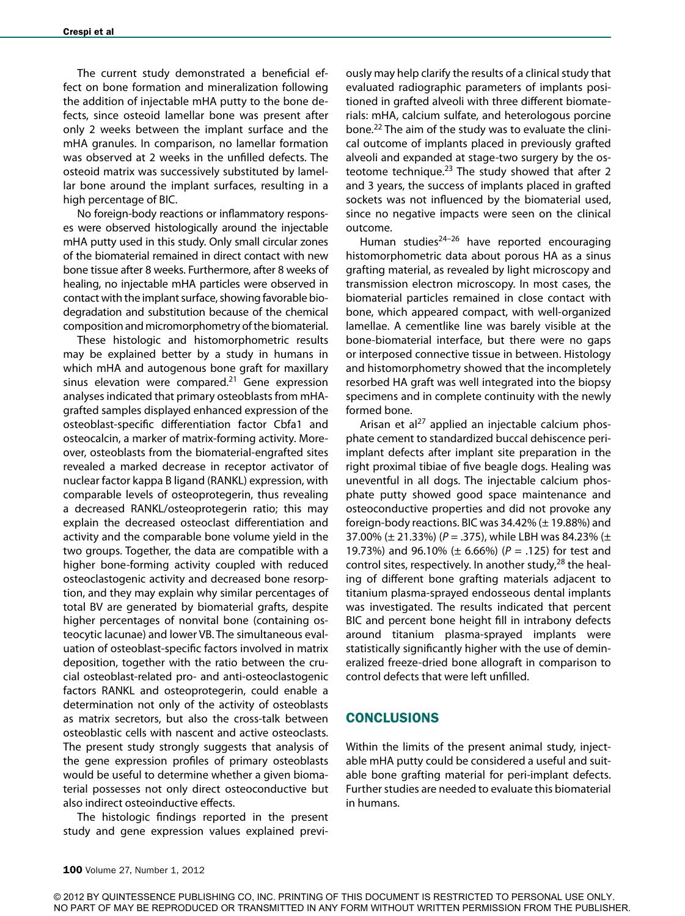The current study demonstrated a beneficial effect on bone formation and mineralization following the addition of injectable mHA putty to the bone defects, since osteoid lamellar bone was present after only 2 weeks between the implant surface and the mHA granules. In comparison, no lamellar formation was observed at 2 weeks in the unfilled defects. The osteoid matrix was successively substituted by lamellar bone around the implant surfaces, resulting in a high percentage of BIC.

No foreign-body reactions or inflammatory responses were observed histologically around the injectable mHA putty used in this study. Only small circular zones of the biomaterial remained in direct contact with new bone tissue after 8 weeks. Furthermore, after 8 weeks of healing, no injectable mHA particles were observed in contact with the implant surface, showing favorable biodegradation and substitution because of the chemical composition and micromorphometry of the biomaterial.

These histologic and histomorphometric results may be explained better by a study in humans in which mHA and autogenous bone graft for maxillary sinus elevation were compared. $21$  Gene expression analyses indicated that primary osteoblasts from mHAgrafted samples displayed enhanced expression of the osteoblast-specific differentiation factor Cbfa1 and osteocalcin, a marker of matrix-forming activity. Moreover, osteoblasts from the biomaterial-engrafted sites revealed a marked decrease in receptor activator of nuclear factor kappa B ligand (RANKL) expression, with comparable levels of osteoprotegerin, thus revealing a decreased RANKL/osteoprotegerin ratio; this may explain the decreased osteoclast differentiation and activity and the comparable bone volume yield in the two groups. Together, the data are compatible with a higher bone-forming activity coupled with reduced osteoclastogenic activity and decreased bone resorption, and they may explain why similar percentages of total BV are generated by biomaterial grafts, despite higher percentages of nonvital bone (containing osteocytic lacunae) and lower VB. The simultaneous evaluation of osteoblast-specific factors involved in matrix deposition, together with the ratio between the crucial osteoblast-related pro- and anti-osteoclastogenic factors RANKL and osteoprotegerin, could enable a determination not only of the activity of osteoblasts as matrix secretors, but also the cross-talk between osteoblastic cells with nascent and active osteoclasts. The present study strongly suggests that analysis of the gene expression profiles of primary osteoblasts would be useful to determine whether a given biomaterial possesses not only direct osteoconductive but also indirect osteoinductive effects.

The histologic findings reported in the present study and gene expression values explained previously may help clarify the results of a clinical study that evaluated radiographic parameters of implants positioned in grafted alveoli with three different biomaterials: mHA, calcium sulfate, and heterologous porcine bone.<sup>22</sup> The aim of the study was to evaluate the clinical outcome of implants placed in previously grafted alveoli and expanded at stage-two surgery by the osteotome technique. $23$  The study showed that after 2 and 3 years, the success of implants placed in grafted sockets was not influenced by the biomaterial used, since no negative impacts were seen on the clinical outcome.

Human studies<sup>24-26</sup> have reported encouraging histomorphometric data about porous HA as a sinus grafting material, as revealed by light microscopy and transmission electron microscopy. In most cases, the biomaterial particles remained in close contact with bone, which appeared compact, with well-organized lamellae. A cementlike line was barely visible at the bone-biomaterial interface, but there were no gaps or interposed connective tissue in between. Histology and histomorphometry showed that the incompletely resorbed HA graft was well integrated into the biopsy specimens and in complete continuity with the newly formed bone.

Arisan et al<sup>27</sup> applied an injectable calcium phosphate cement to standardized buccal dehiscence periimplant defects after implant site preparation in the right proximal tibiae of five beagle dogs. Healing was uneventful in all dogs. The injectable calcium phosphate putty showed good space maintenance and osteoconductive properties and did not provoke any foreign-body reactions. BIC was 34.42% (± 19.88%) and 37.00% (± 21.33%) (*P* = .375), while LBH was 84.23% (± 19.73%) and 96.10% (± 6.66%) (*P* = .125) for test and control sites, respectively. In another study, $^{28}$  the healing of different bone grafting materials adjacent to titanium plasma-sprayed endosseous dental implants was investigated. The results indicated that percent BIC and percent bone height fill in intrabony defects around titanium plasma-sprayed implants were statistically significantly higher with the use of demineralized freeze-dried bone allograft in comparison to control defects that were left unfilled.

## **CONCLUSIONS**

Within the limits of the present animal study, injectable mHA putty could be considered a useful and suitable bone grafting material for peri-implant defects. Further studies are needed to evaluate this biomaterial in humans.

<sup>© 2012</sup> BY QUINTESSENCE PUBLISHING CO, INC. PRINTING OF THIS DOCUMENT IS RESTRICTED TO PERSONAL USE ONLY. NO PART OF MAY BE REPRODUCED OR TRANSMITTED IN ANY FORM WITHOUT WRITTEN PERMISSION FROM THE PUBLISHER.